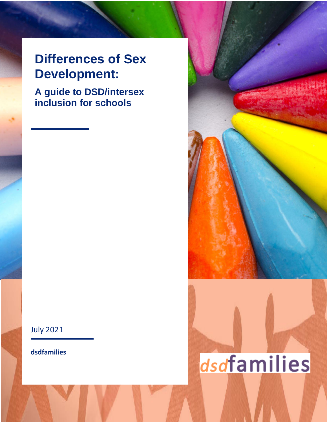## **Differences of Sex Development:**

**A guide to DSD/intersex inclusion for schools**

July 2021

**dsdfamilies**



# dsdfamilies

**dsdfamilies 1**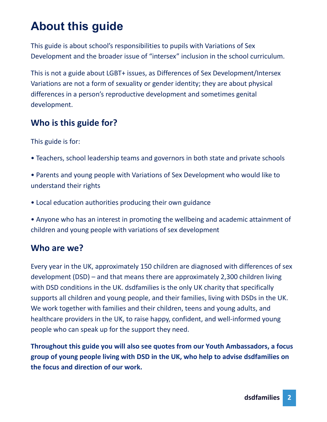## **About this guide**

This guide is about school's responsibilities to pupils with Variations of Sex Development and the broader issue of "intersex" inclusion in the school curriculum.

This is not a guide about LGBT+ issues, as Differences of Sex Development/Intersex Variations are not a form of sexuality or gender identity; they are about physical differences in a person's reproductive development and sometimes genital development.

#### **Who is this guide for?**

This guide is for:

- Teachers, school leadership teams and governors in both state and private schools
- Parents and young people with Variations of Sex Development who would like to understand their rights
- Local education authorities producing their own guidance
- Anyone who has an interest in promoting the wellbeing and academic attainment of children and young people with variations of sex development

#### **Who are we?**

Every year in the UK, approximately 150 children are diagnosed with differences of sex development (DSD) – and that means there are approximately 2,300 children living with DSD conditions in the UK. dsdfamilies is the only UK charity that specifically supports all children and young people, and their families, living with DSDs in the UK. We work together with families and their children, teens and young adults, and healthcare providers in the UK, to raise happy, confident, and well-informed young people who can speak up for the support they need.

**Throughout this guide you will also see quotes from our Youth Ambassadors, a focus group of young people living with DSD in the UK, who help to advise dsdfamilies on the focus and direction of our work.**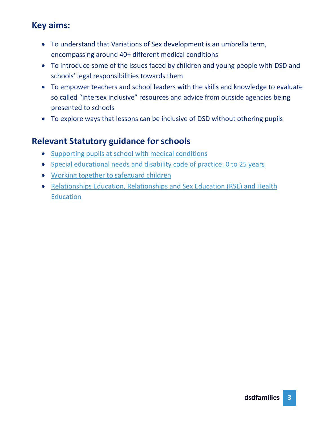#### **Key aims:**

- To understand that Variations of Sex development is an umbrella term, encompassing around 40+ different medical conditions
- To introduce some of the issues faced by children and young people with DSD and schools' legal responsibilities towards them
- To empower teachers and school leaders with the skills and knowledge to evaluate so called "intersex inclusive" resources and advice from outside agencies being presented to schools
- To explore ways that lessons can be inclusive of DSD without othering pupils

#### **Relevant Statutory guidance for schools**

- [Supporting pupils at school with medical conditions](https://assets.publishing.service.gov.uk/government/uploads/system/uploads/attachment_data/file/803956/supporting-pupils-at-school-with-medical-conditions.pdf)
- [Special educational needs and disability code of practice: 0 to 25 years](https://assets.publishing.service.gov.uk/government/uploads/system/uploads/attachment_data/file/398815/SEND_Code_of_Practice_January_2015.pdf)
- [Working together to safeguard children](https://www.gov.uk/government/publications/working-together-to-safeguard-children--2)
- [Relationships Education, Relationships and Sex Education \(RSE\) and Health](https://assets.publishing.service.gov.uk/government/uploads/system/uploads/attachment_data/file/908013/Relationships_Education__Relationships_and_Sex_Education__RSE__and_Health_Education.pdf)  [Education](https://assets.publishing.service.gov.uk/government/uploads/system/uploads/attachment_data/file/908013/Relationships_Education__Relationships_and_Sex_Education__RSE__and_Health_Education.pdf)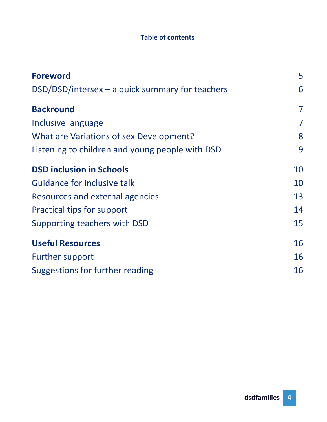#### **Table of contents**

| <b>Foreword</b>                                 | 5  |
|-------------------------------------------------|----|
| DSD/DSD/intersex - a quick summary for teachers | 6  |
| <b>Backround</b>                                | 7  |
| Inclusive language                              | 7  |
| What are Variations of sex Development?         | 8  |
| Listening to children and young people with DSD | 9  |
| <b>DSD inclusion in Schools</b>                 | 10 |
| Guidance for inclusive talk                     | 10 |
| Resources and external agencies                 | 13 |
| Practical tips for support                      | 14 |
| Supporting teachers with DSD                    | 15 |
| <b>Useful Resources</b>                         | 16 |
| <b>Further support</b>                          | 16 |
| Suggestions for further reading                 | 16 |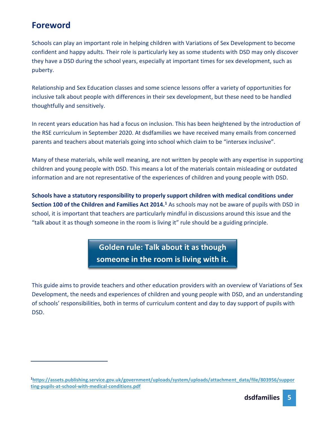#### **Foreword**

Schools can play an important role in helping children with Variations of Sex Development to become confident and happy adults. Their role is particularly key as some students with DSD may only discover they have a DSD during the school years, especially at important times for sex development, such as puberty.

Relationship and Sex Education classes and some science lessons offer a variety of opportunities for inclusive talk about people with differences in their sex development, but these need to be handled thoughtfully and sensitively.

In recent years education has had a focus on inclusion. This has been heightened by the introduction of the RSE curriculum in September 2020. At dsdfamilies we have received many emails from concerned parents and teachers about materials going into school which claim to be "intersex inclusive".

Many of these materials, while well meaning, are not written by people with any expertise in supporting children and young people with DSD. This means a lot of the materials contain misleading or outdated information and are not representative of the experiences of children and young people with DSD.

**Schools have a statutory responsibility to properly support children with medical conditions under Section 100 of the Children and Families Act 2014.<sup>1</sup>** As schools may not be aware of pupils with DSD in school, it is important that teachers are particularly mindful in discussions around this issue and the "talk about it as though someone in the room is living it" rule should be a guiding principle.

> **Golden rule: Talk about it as though someone in the room is living with it.**

This guide aims to provide teachers and other education providers with an overview of Variations of Sex Development, the needs and experiences of children and young people with DSD, and an understanding of schools' responsibilities, both in terms of curriculum content and day to day support of pupils with DSD.

**<sup>1</sup>[https://assets.publishing.service.gov.uk/government/uploads/system/uploads/attachment\\_data/file/803956/suppor](https://assets.publishing.service.gov.uk/government/uploads/system/uploads/attachment_data/file/803956/supporting-pupils-at-school-with-medical-conditions.pdf) [ting-pupils-at-school-with-medical-conditions.pdf](https://assets.publishing.service.gov.uk/government/uploads/system/uploads/attachment_data/file/803956/supporting-pupils-at-school-with-medical-conditions.pdf)**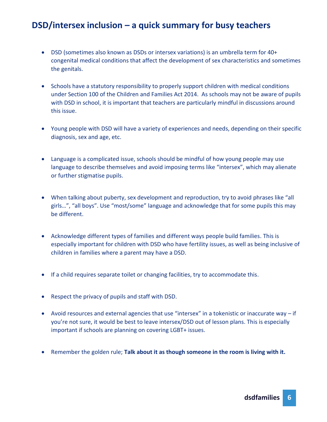#### **DSD/intersex inclusion – a quick summary for busy teachers**

- DSD (sometimes also known as DSDs or intersex variations) is an umbrella term for 40+ congenital medical conditions that affect the development of sex characteristics and sometimes the genitals.
- Schools have a statutory responsibility to properly support children with medical conditions under Section 100 of the Children and Families Act 2014. As schools may not be aware of pupils with DSD in school, it is important that teachers are particularly mindful in discussions around this issue.
- Young people with DSD will have a variety of experiences and needs, depending on their specific diagnosis, sex and age, etc.
- Language is a complicated issue, schools should be mindful of how young people may use language to describe themselves and avoid imposing terms like "intersex", which may alienate or further stigmatise pupils.
- When talking about puberty, sex development and reproduction, try to avoid phrases like "all girls…", "all boys". Use "most/some" language and acknowledge that for some pupils this may be different.
- Acknowledge different types of families and different ways people build families. This is especially important for children with DSD who have fertility issues, as well as being inclusive of children in families where a parent may have a DSD.
- If a child requires separate toilet or changing facilities, try to accommodate this.
- Respect the privacy of pupils and staff with DSD.
- Avoid resources and external agencies that use "intersex" in a tokenistic or inaccurate way if you're not sure, it would be best to leave intersex/DSD out of lesson plans. This is especially important if schools are planning on covering LGBT+ issues.
- Remember the golden rule; **Talk about it as though someone in the room is living with it.**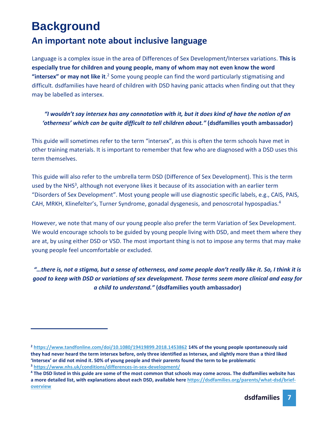## **Background**

#### **An important note about inclusive language**

Language is a complex issue in the area of Differences of Sex Development/Intersex variations. **This is especially true for children and young people, many of whom may not even know the word "intersex" or may not like it**. <sup>2</sup> Some young people can find the word particularly stigmatising and difficult. dsdfamilies have heard of children with DSD having panic attacks when finding out that they may be labelled as intersex.

*"I wouldn't say intersex has any connotation with it, but it does kind of have the notion of an 'otherness' which can be quite difficult to tell children about."* **(dsdfamilies youth ambassador)**

This guide will sometimes refer to the term "intersex", as this is often the term schools have met in other training materials. It is important to remember that few who are diagnosed with a DSD uses this term themselves.

This guide will also refer to the umbrella term DSD (Difference of Sex Development). This is the term used by the NHS<sup>3</sup>, although not everyone likes it because of its association with an earlier term "Disorders of Sex Development". Most young people will use diagnostic specific labels, e.g., CAIS, PAIS, CAH, MRKH, Klinefelter's, Turner Syndrome, gonadal dysgenesis, and penoscrotal hypospadias.<sup>4</sup>

However, we note that many of our young people also prefer the term Variation of Sex Development. We would encourage schools to be guided by young people living with DSD, and meet them where they are at, by using either DSD or VSD. The most important thing is not to impose any terms that may make young people feel uncomfortable or excluded.

*"…there is, not a stigma, but a sense of otherness, and some people don't really like it. So, I think it is good to keep with DSD or variations of sex development. Those terms seem more clinical and easy for a child to understand."* **(dsdfamilies youth ambassador)**

**<sup>2</sup> <https://www.tandfonline.com/doi/10.1080/19419899.2018.1453862> 14% of the young people spontaneously said they had never heard the term intersex before, only three identified as Intersex, and slightly more than a third liked 'Intersex' or did not mind it. 50% of young people and their parents found the term to be problematic <sup>3</sup> <https://www.nhs.uk/conditions/differences-in-sex-development/>**

**<sup>4</sup> The DSD listed in this guide are some of the most common that schools may come across. The dsdfamilies website has a more detailed list, with explanations about each DSD, available here [https://dsdfamilies.org/parents/what-dsd/brief](https://dsdfamilies.org/parents/what-dsd/brief-overview)[overview](https://dsdfamilies.org/parents/what-dsd/brief-overview)**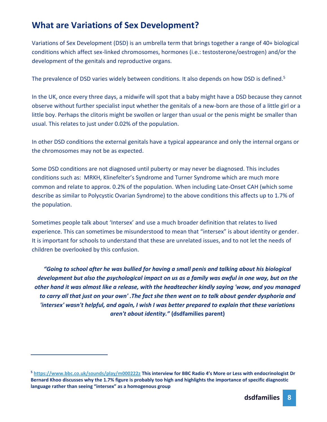#### **What are Variations of Sex Development?**

Variations of Sex Development (DSD) is an umbrella term that brings together a range of 40+ biological conditions which affect sex-linked chromosomes, hormones (i.e.: testosterone/oestrogen) and/or the development of the genitals and reproductive organs.

The prevalence of DSD varies widely between conditions. It also depends on how DSD is defined.<sup>5</sup>

In the UK, once every three days, a midwife will spot that a baby might have a DSD because they cannot observe without further specialist input whether the genitals of a new-born are those of a little girl or a little boy. Perhaps the clitoris might be swollen or larger than usual or the penis might be smaller than usual. This relates to just under 0.02% of the population.

In other DSD conditions the external genitals have a typical appearance and only the internal organs or the chromosomes may not be as expected.

Some DSD conditions are not diagnosed until puberty or may never be diagnosed. This includes conditions such as: MRKH, Klinefelter's Syndrome and Turner Syndrome which are much more common and relate to approx. 0.2% of the population. When including Late-Onset CAH (which some describe as similar to Polycystic Ovarian Syndrome) to the above conditions this affects up to 1.7% of the population.

Sometimes people talk about 'Intersex' and use a much broader definition that relates to lived experience. This can sometimes be misunderstood to mean that "intersex" is about identity or gender. It is important for schools to understand that these are unrelated issues, and to not let the needs of children be overlooked by this confusion.

*"Going to school after he was bullied for having a small penis and talking about his biological development but also the psychological impact on us as a family was awful in one way, but on the other hand it was almost like a release, with the headteacher kindly saying 'wow, and you managed to carry all that just on your own' .The fact she then went on to talk about gender dysphoria and 'intersex' wasn't helpful, and again, I wish I was better prepared to explain that these variations aren't about identity."* **(dsdfamilies parent)**

**<sup>5</sup> <https://www.bbc.co.uk/sounds/play/m000222z> This interview for BBC Radio 4's More or Less with endocrinologist Dr Bernard Khoo discusses why the 1.7% figure is probably too high and highlights the importance of specific diagnostic language rather than seeing "intersex" as a homogenous group**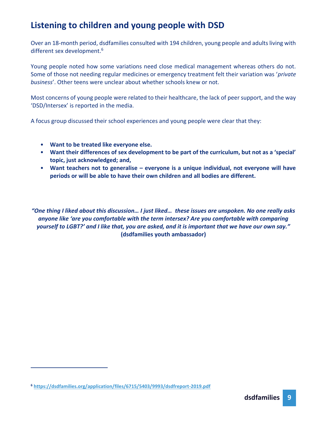#### **Listening to children and young people with DSD**

Over an 18-month period, dsdfamilies consulted with 194 children, young people and adults living with different sex development.<sup>6</sup>

Young people noted how some variations need close medical management whereas others do not. Some of those not needing regular medicines or emergency treatment felt their variation was '*private business*'. Other teens were unclear about whether schools knew or not.

Most concerns of young people were related to their healthcare, the lack of peer support, and the way 'DSD/Intersex' is reported in the media.

A focus group discussed their school experiences and young people were clear that they:

- **Want to be treated like everyone else.**
- **Want their differences of sex development to be part of the curriculum, but not as a 'special' topic, just acknowledged; and,**
- **Want teachers not to generalise – everyone is a unique individual, not everyone will have periods or will be able to have their own children and all bodies are different.**

*"One thing I liked about this discussion… I just liked… these issues are unspoken. No one really asks anyone like 'are you comfortable with the term intersex? Are you comfortable with comparing yourself to LGBT?' and I like that, you are asked, and it is important that we have our own say."* **(dsdfamilies youth ambassador)**

**<sup>6</sup> <https://dsdfamilies.org/application/files/6715/5403/9993/dsdfreport-2019.pdf>**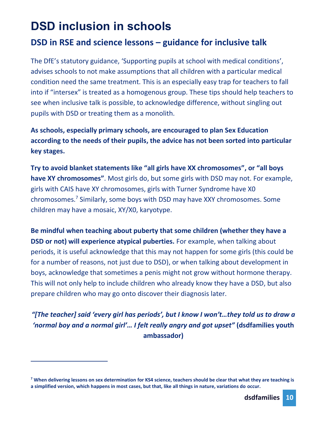## **DSD inclusion in schools**

#### **DSD in RSE and science lessons – guidance for inclusive talk**

The DfE's statutory guidance, 'Supporting pupils at school with medical conditions', advises schools to not make assumptions that all children with a particular medical condition need the same treatment. This is an especially easy trap for teachers to fall into if "intersex" is treated as a homogenous group. These tips should help teachers to see when inclusive talk is possible, to acknowledge difference, without singling out pupils with DSD or treating them as a monolith.

**As schools, especially primary schools, are encouraged to plan Sex Education according to the needs of their pupils, the advice has not been sorted into particular key stages.**

**Try to avoid blanket statements like "all girls have XX chromosomes", or "all boys have XY chromosomes"**. Most girls do, but some girls with DSD may not. For example, girls with CAIS have XY chromosomes, girls with Turner Syndrome have X0 chromosomes.<sup>7</sup> Similarly, some boys with DSD may have XXY chromosomes. Some children may have a mosaic, XY/X0, karyotype.

**Be mindful when teaching about puberty that some children (whether they have a DSD or not) will experience atypical puberties.** For example, when talking about periods, it is useful acknowledge that this may not happen for some girls (this could be for a number of reasons, not just due to DSD), or when talking about development in boys, acknowledge that sometimes a penis might not grow without hormone therapy. This will not only help to include children who already know they have a DSD, but also prepare children who may go onto discover their diagnosis later.

*"[The teacher] said 'every girl has periods', but I know I won't…they told us to draw a 'normal boy and a normal girl'… I felt really angry and got upset"* **(dsdfamilies youth ambassador)**

**<sup>7</sup> When delivering lessons on sex determination for KS4 science, teachers should be clear that what they are teaching is a simplified version, which happens in most cases, but that, like all things in nature, variations do occur.**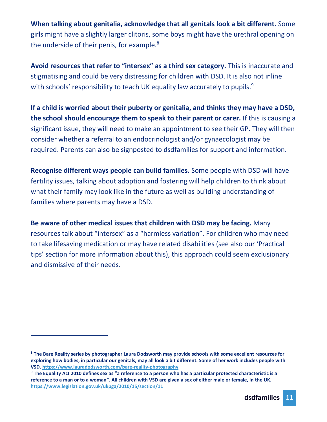**When talking about genitalia, acknowledge that all genitals look a bit different.** Some girls might have a slightly larger clitoris, some boys might have the urethral opening on the underside of their penis, for example.<sup>8</sup>

**Avoid resources that refer to "intersex" as a third sex category.** This is inaccurate and stigmatising and could be very distressing for children with DSD. It is also not inline with schools' responsibility to teach UK equality law accurately to pupils.<sup>9</sup>

**If a child is worried about their puberty or genitalia, and thinks they may have a DSD, the school should encourage them to speak to their parent or carer.** If this is causing a significant issue, they will need to make an appointment to see their GP. They will then consider whether a referral to an endocrinologist and/or gynaecologist may be required. Parents can also be signposted to dsdfamilies for support and information.

**Recognise different ways people can build families.** Some people with DSD will have fertility issues, talking about adoption and fostering will help children to think about what their family may look like in the future as well as building understanding of families where parents may have a DSD.

**Be aware of other medical issues that children with DSD may be facing.** Many resources talk about "intersex" as a "harmless variation". For children who may need to take lifesaving medication or may have related disabilities (see also our 'Practical tips' section for more information about this), this approach could seem exclusionary and dismissive of their needs.

**<sup>8</sup> The Bare Reality series by photographer Laura Dodsworth may provide schools with some excellent resources for exploring how bodies, in particular our genitals, may all look a bit different. Some of her work includes people with VSD[. https://www.lauradodsworth.com/bare-reality-photography](https://www.lauradodsworth.com/bare-reality-photography)**

**<sup>9</sup> The Equality Act 2010 defines sex as "a reference to a person who has a particular protected characteristic is a reference to a man or to a woman". All children with VSD are given a sex of either male or female, in the UK. <https://www.legislation.gov.uk/ukpga/2010/15/section/11>**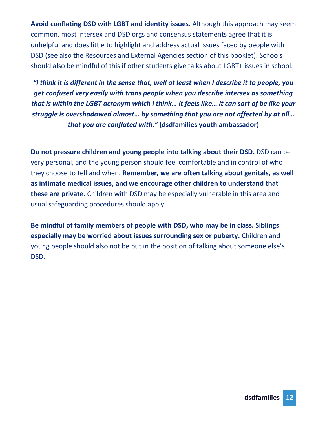**Avoid conflating DSD with LGBT and identity issues.** Although this approach may seem common, most intersex and DSD orgs and consensus statements agree that it is unhelpful and does little to highlight and address actual issues faced by people with DSD (see also the Resources and External Agencies section of this booklet). Schools should also be mindful of this if other students give talks about LGBT+ issues in school.

*"I think it is different in the sense that, well at least when I describe it to people, you get confused very easily with trans people when you describe intersex as something that is within the LGBT acronym which I think… it feels like… it can sort of be like your struggle is overshadowed almost… by something that you are not affected by at all… that you are conflated with."* **(dsdfamilies youth ambassador)**

**Do not pressure children and young people into talking about their DSD.** DSD can be very personal, and the young person should feel comfortable and in control of who they choose to tell and when. **Remember, we are often talking about genitals, as well as intimate medical issues, and we encourage other children to understand that these are private.** Children with DSD may be especially vulnerable in this area and usual safeguarding procedures should apply.

**Be mindful of family members of people with DSD, who may be in class. Siblings especially may be worried about issues surrounding sex or puberty.** Children and young people should also not be put in the position of talking about someone else's DSD.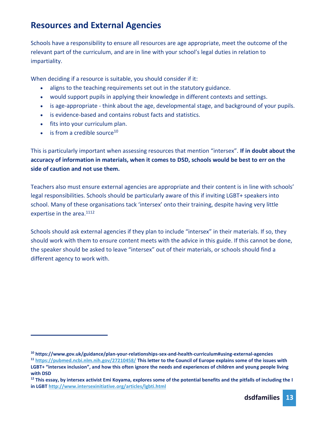#### **Resources and External Agencies**

Schools have a responsibility to ensure all resources are age appropriate, meet the outcome of the relevant part of the curriculum, and are in line with your school's legal duties in relation to impartiality.

When deciding if a resource is suitable, you should consider if it:

- aligns to the teaching requirements set out in the statutory guidance.
- would support pupils in applying their knowledge in different contexts and settings.
- is age-appropriate think about the age, developmental stage, and background of your pupils.
- is evidence-based and contains robust facts and statistics.
- fits into your curriculum plan.
- $\bullet$  is from a credible source<sup>10</sup>

This is particularly important when assessing resources that mention "intersex". **If in doubt about the accuracy of information in materials, when it comes to DSD, schools would be best to err on the side of caution and not use them.**

Teachers also must ensure external agencies are appropriate and their content is in line with schools' legal responsibilities. Schools should be particularly aware of this if inviting LGBT+ speakers into school. Many of these organisations tack 'intersex' onto their training, despite having very little expertise in the area.<sup>1112</sup>

Schools should ask external agencies if they plan to include "intersex" in their materials. If so, they should work with them to ensure content meets with the advice in this guide. If this cannot be done, the speaker should be asked to leave "intersex" out of their materials, or schools should find a different agency to work with.

**<sup>10</sup> https://www.gov.uk/guidance/plan-your-relationships-sex-and-health-curriculum#using-external-agencies**

**<sup>11</sup> <https://pubmed.ncbi.nlm.nih.gov/27210458/> This letter to the Council of Europe explains some of the issues with LGBT+ "intersex inclusion", and how this often ignore the needs and experiences of children and young people living with DSD**

**<sup>12</sup> This essay, by intersex activist Emi Koyama, explores some of the potential benefits and the pitfalls of including the I in LGBT<http://www.intersexinitiative.org/articles/lgbti.html>**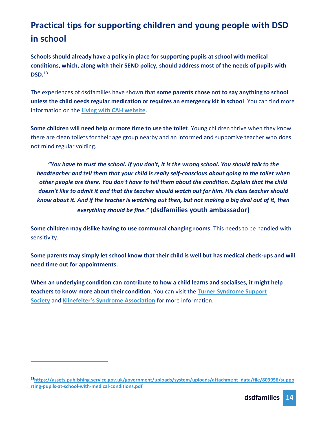### **Practical tips for supporting children and young people with DSD in school**

**Schools should already have a policy in place for supporting pupils at school with medical conditions, which, along with their SEND policy, should address most of the needs of pupils with DSD. 13**

The experiences of dsdfamilies have shown that **some parents chose not to say anything to school unless the child needs regular medication or requires an emergency kit in school**. You can find more information on the **[Living with CAH website](http://www.livingwithcah.com/useful_documents.html)**.

**Some children will need help or more time to use the toilet**. Young children thrive when they know there are clean toilets for their age group nearby and an informed and supportive teacher who does not mind regular voiding.

*"You have to trust the school. If you don't, it is the wrong school. You should talk to the headteacher and tell them that your child is really self-conscious about going to the toilet when other people are there. You don't have to tell them about the condition. Explain that the child doesn't like to admit it and that the teacher should watch out for him. His class teacher should know about it. And if the teacher is watching out then, but not making a big deal out of it, then everything should be fine."* **(dsdfamilies youth ambassador)**

**Some children may dislike having to use communal changing rooms**. This needs to be handled with sensitivity.

**Some parents may simply let school know that their child is well but has medical check-ups and will need time out for appointments.**

**When an underlying condition can contribute to how a child learns and socialises, it might help teachers to know more about their condition**. You can visit the **[Turner Syndrome Support](https://tss.org.uk/)  [Society](https://tss.org.uk/)** and **[Klinefelter's Syndrome Association](https://www.ksa-uk.net/ )** for more information.

**<sup>13</sup>[https://assets.publishing.service.gov.uk/government/uploads/system/uploads/attachment\\_data/file/803956/suppo](https://assets.publishing.service.gov.uk/government/uploads/system/uploads/attachment_data/file/803956/supporting-pupils-at-school-with-medical-conditions.pdf) [rting-pupils-at-school-with-medical-conditions.pdf](https://assets.publishing.service.gov.uk/government/uploads/system/uploads/attachment_data/file/803956/supporting-pupils-at-school-with-medical-conditions.pdf)**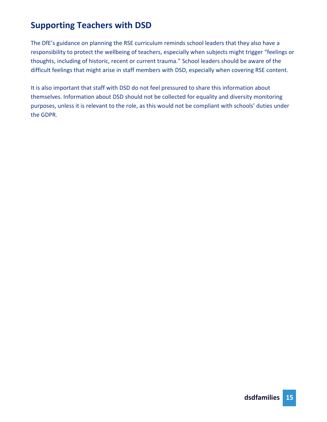#### **Supporting Teachers with DSD**

The DfE's guidance on planning the RSE curriculum reminds school leaders that they also have a responsibility to protect the wellbeing of teachers, especially when subjects might trigger "feelings or thoughts, including of historic, recent or current trauma." School leaders should be aware of the difficult feelings that might arise in staff members with DSD, especially when covering RSE content.

It is also important that staff with DSD do not feel pressured to share this information about themselves. Information about DSD should not be collected for equality and diversity monitoring purposes, unless it is relevant to the role, as this would not be compliant with schools' duties under the GDPR.